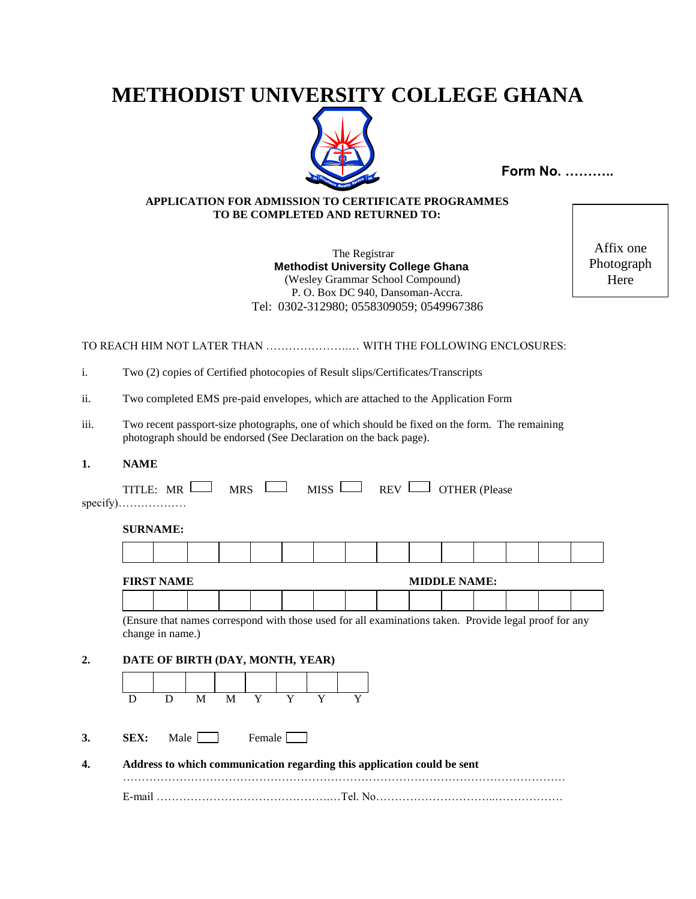# **METHODIST UNIVERSITY COLLEGE GHANA**



**Form No. ………..** 

## **APPLICATION FOR ADMISSION TO CERTIFICATE PROGRAMMES TO BE COMPLETED AND RETURNED TO:**

 The Registrar  **Methodist University College Ghana** (Wesley Grammar School Compound) P. O. Box DC 940, Dansoman-Accra. Tel: 0302-312980; 0558309059; 0549967386

Affix one Photograph Here

## TO REACH HIM NOT LATER THAN ………………….… WITH THE FOLLOWING ENCLOSURES:

i. Two (2) copies of Certified photocopies of Result slips/Certificates/Transcripts

ii. Two completed EMS pre-paid envelopes, which are attached to the Application Form

iii. Two recent passport-size photographs, one of which should be fixed on the form. The remaining photograph should be endorsed (See Declaration on the back page).

#### **1. NAME**

| $specify)$ |  |  |  | TITLE: $MR \Box$ MRS $MISS \Box$ REV $\Box$ OTHER (Please |  |
|------------|--|--|--|-----------------------------------------------------------|--|
| CIIDMAME.  |  |  |  |                                                           |  |

#### **SURNAME:**

| <b>FIDCT</b><br>$\mathbf{X}$<br>MD<br>.<br>1717117 |  |  |  |  |  | $\mathbf{1}$ | MINNI E NAME |  |  |
|----------------------------------------------------|--|--|--|--|--|--------------|--------------|--|--|
|                                                    |  |  |  |  |  |              |              |  |  |

| $-2220$ $-2722$ |  |  |  |  |  |  |  |  |  |  |  |  |  |  |
|-----------------|--|--|--|--|--|--|--|--|--|--|--|--|--|--|
|                 |  |  |  |  |  |  |  |  |  |  |  |  |  |  |
|                 |  |  |  |  |  |  |  |  |  |  |  |  |  |  |
|                 |  |  |  |  |  |  |  |  |  |  |  |  |  |  |
|                 |  |  |  |  |  |  |  |  |  |  |  |  |  |  |

(Ensure that names correspond with those used for all examinations taken. Provide legal proof for any change in name.)

#### **2. DATE OF BIRTH (DAY, MONTH, YEAR)**



- **3. SEX:** Male Female
- **4. Address to which communication regarding this application could be sent**

……………………………………………………………………………………………………… E-mail ……………………………………….…Tel. No…………………………..………………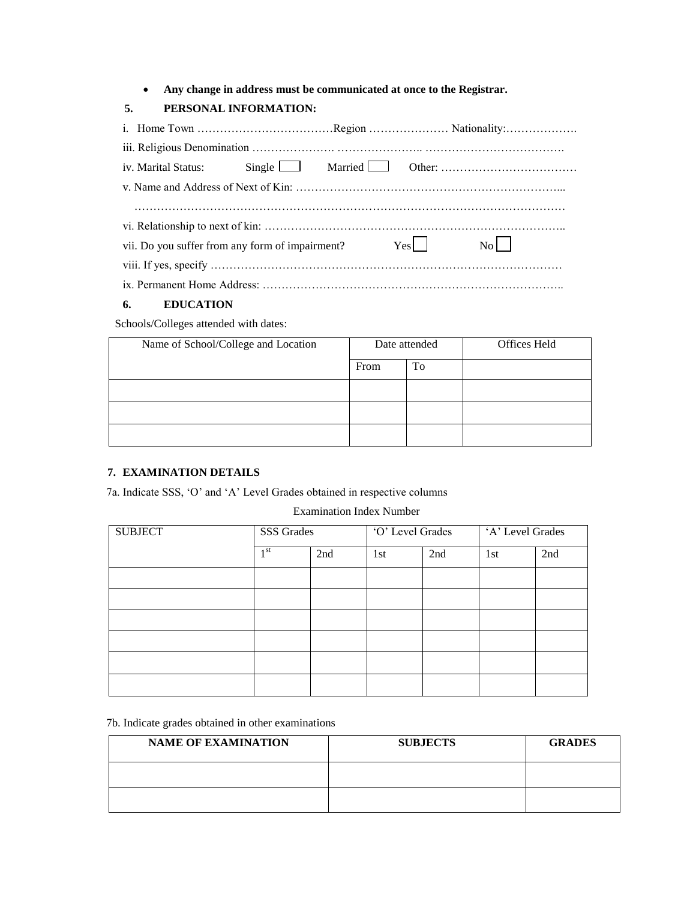**Any change in address must be communicated at once to the Registrar.**

## **5. PERSONAL INFORMATION:**

| vii. Do you suffer from any form of impairment? |  |  | $Yes$ | $\overline{N_0}$ |  |  |  |  |
|-------------------------------------------------|--|--|-------|------------------|--|--|--|--|
|                                                 |  |  |       |                  |  |  |  |  |
|                                                 |  |  |       |                  |  |  |  |  |

## **6. EDUCATION**

Schools/Colleges attended with dates:

| Name of School/College and Location | Date attended |    | Offices Held |
|-------------------------------------|---------------|----|--------------|
|                                     | From          | To |              |
|                                     |               |    |              |
|                                     |               |    |              |
|                                     |               |    |              |

## **7. EXAMINATION DETAILS**

7a. Indicate SSS, 'O' and 'A' Level Grades obtained in respective columns

#### Examination Index Number

| <b>SUBJECT</b> | <b>SSS Grades</b> |     | 'O' Level Grades |     | 'A' Level Grades |     |
|----------------|-------------------|-----|------------------|-----|------------------|-----|
|                | 1 <sup>st</sup>   | 2nd | 1st              | 2nd | 1st              | 2nd |
|                |                   |     |                  |     |                  |     |
|                |                   |     |                  |     |                  |     |
|                |                   |     |                  |     |                  |     |
|                |                   |     |                  |     |                  |     |
|                |                   |     |                  |     |                  |     |
|                |                   |     |                  |     |                  |     |

## 7b. Indicate grades obtained in other examinations

| <b>NAME OF EXAMINATION</b> | <b>SUBJECTS</b> | <b>GRADES</b> |
|----------------------------|-----------------|---------------|
|                            |                 |               |
|                            |                 |               |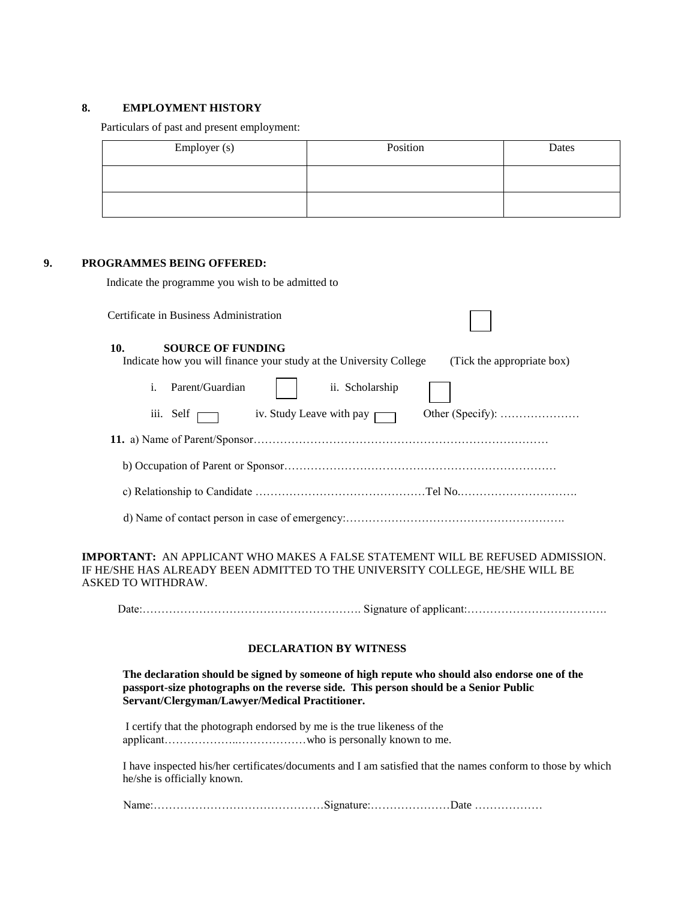## **8. EMPLOYMENT HISTORY**

Particulars of past and present employment:

| Employer (s) | Position | Dates |
|--------------|----------|-------|
|              |          |       |
|              |          |       |

#### **9. PROGRAMMES BEING OFFERED:**

Indicate the programme you wish to be admitted to

Certificate in Business Administration

#### **10. SOURCE OF FUNDING**

| <b>SOURCE OF FUNDING</b><br>10.   | Indicate how you will finance your study at the University College | (Tick the appropriate box) |
|-----------------------------------|--------------------------------------------------------------------|----------------------------|
| Parent/Guardian<br>1 <sub>1</sub> | ii. Scholarship                                                    |                            |
| iii. Self $\Box$                  | iv. Study Leave with pay $\Box$                                    |                            |
|                                   |                                                                    |                            |
|                                   |                                                                    |                            |
|                                   |                                                                    |                            |
|                                   |                                                                    |                            |

**IMPORTANT:** AN APPLICANT WHO MAKES A FALSE STATEMENT WILL BE REFUSED ADMISSION. IF HE/SHE HAS ALREADY BEEN ADMITTED TO THE UNIVERSITY COLLEGE, HE/SHE WILL BE ASKED TO WITHDRAW.

Date:…………………………………………………. Signature of applicant:……………………………….

#### **DECLARATION BY WITNESS**

**The declaration should be signed by someone of high repute who should also endorse one of the passport-size photographs on the reverse side. This person should be a Senior Public Servant/Clergyman/Lawyer/Medical Practitioner.**

I certify that the photograph endorsed by me is the true likeness of the applicant………………..………………who is personally known to me.

I have inspected his/her certificates/documents and I am satisfied that the names conform to those by which he/she is officially known.

Name:………………………………………Signature:…………………Date ………………